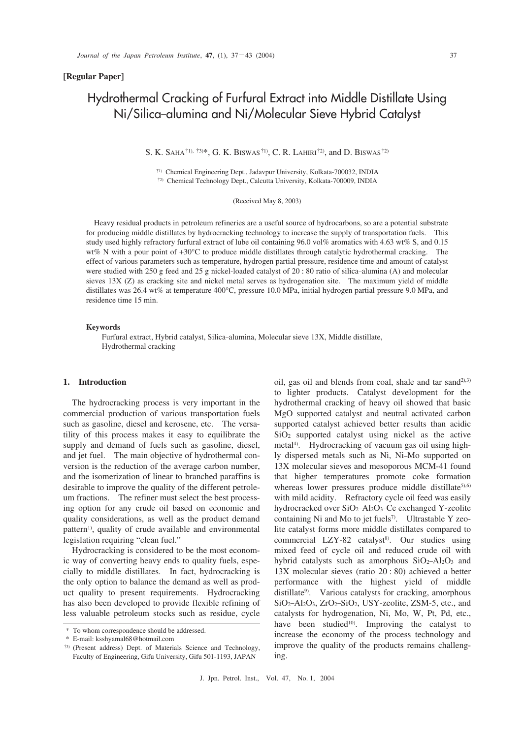#### **[Regular Paper]**

# Hydrothermal Cracking of Furfural Extract into Middle Distillate Using Ni/Silica-alumina and Ni/Molecular Sieve Hybrid Catalyst

S. K. SAHA†1), †3)\*, G. K. BISWAS†1), C. R. LAHIRI†2), and D. BISWAS†2)

†1) Chemical Engineering Dept., Jadavpur University, Kolkata-700032, INDIA †2) Chemical Technology Dept., Calcutta University, Kolkata-700009, INDIA

(Received May 8, 2003)

Heavy residual products in petroleum refineries are a useful source of hydrocarbons, so are a potential substrate for producing middle distillates by hydrocracking technology to increase the supply of transportation fuels. This study used highly refractory furfural extract of lube oil containing 96.0 vol% aromatics with 4.63 wt% S, and 0.15 wt% N with a pour point of +30°C to produce middle distillates through catalytic hydrothermal cracking. The effect of various parameters such as temperature, hydrogen partial pressure, residence time and amount of catalyst were studied with 250 g feed and 25 g nickel-loaded catalyst of 20 : 80 ratio of silica-alumina (A) and molecular sieves 13X (Z) as cracking site and nickel metal serves as hydrogenation site. The maximum yield of middle distillates was 26.4 wt% at temperature 400°C, pressure 10.0 MPa, initial hydrogen partial pressure 9.0 MPa, and residence time 15 min.

#### **Keywords**

Furfural extract, Hybrid catalyst, Silica\_alumina, Molecular sieve 13X, Middle distillate, Hydrothermal cracking

#### **1. Introduction**

The hydrocracking process is very important in the commercial production of various transportation fuels such as gasoline, diesel and kerosene, etc. The versatility of this process makes it easy to equilibrate the supply and demand of fuels such as gasoline, diesel, and jet fuel. The main objective of hydrothermal conversion is the reduction of the average carbon number, and the isomerization of linear to branched paraffins is desirable to improve the quality of the different petroleum fractions. The refiner must select the best processing option for any crude oil based on economic and quality considerations, as well as the product demand pattern<sup>1)</sup>, quality of crude available and environmental legislation requiring "clean fuel."

Hydrocracking is considered to be the most economic way of converting heavy ends to quality fuels, especially to middle distillates. In fact, hydrocracking is the only option to balance the demand as well as product quality to present requirements. Hydrocracking has also been developed to provide flexible refining of less valuable petroleum stocks such as residue, cycle oil, gas oil and blends from coal, shale and tar sand<sup>2),3)</sup> to lighter products. Catalyst development for the hydrothermal cracking of heavy oil showed that basic MgO supported catalyst and neutral activated carbon supported catalyst achieved better results than acidic SiO2 supported catalyst using nickel as the active metal<sup>4)</sup>. Hydrocracking of vacuum gas oil using highly dispersed metals such as Ni, Ni\_Mo supported on 13X molecular sieves and mesoporous MCM-41 found that higher temperatures promote coke formation whereas lower pressures produce middle distillate<sup>5),6)</sup> with mild acidity. Refractory cycle oil feed was easily hydrocracked over SiO<sub>2</sub>-Al<sub>2</sub>O<sub>3</sub>-Ce exchanged Y-zeolite containing Ni and Mo to jet fuels<sup>7)</sup>. Ultrastable Y zeolite catalyst forms more middle distillates compared to commercial  $LZY-82$  catalyst<sup>8)</sup>. Our studies using mixed feed of cycle oil and reduced crude oil with hybrid catalysts such as amorphous  $SiO<sub>2</sub> - Al<sub>2</sub>O<sub>3</sub>$  and 13X molecular sieves (ratio 20 : 80) achieved a better performance with the highest yield of middle distillate<sup>9)</sup>. Various catalysts for cracking, amorphous SiO<sub>2</sub>-Al<sub>2</sub>O<sub>3</sub>, ZrO<sub>2</sub>-SiO<sub>2</sub>, USY-zeolite, ZSM-5, etc., and catalysts for hydrogenation, Ni, Mo, W, Pt, Pd, etc., have been studied<sup>10</sup>. Improving the catalyst to increase the economy of the process technology and improve the quality of the products remains challenging.

<sup>\*</sup> To whom correspondence should be addressed.

<sup>\*</sup> E-mail: ksshyamal68@hotmail.com

<sup>†</sup>3) (Present address) Dept. of Materials Science and Technology, Faculty of Engineering, Gifu University, Gifu 501-1193, JAPAN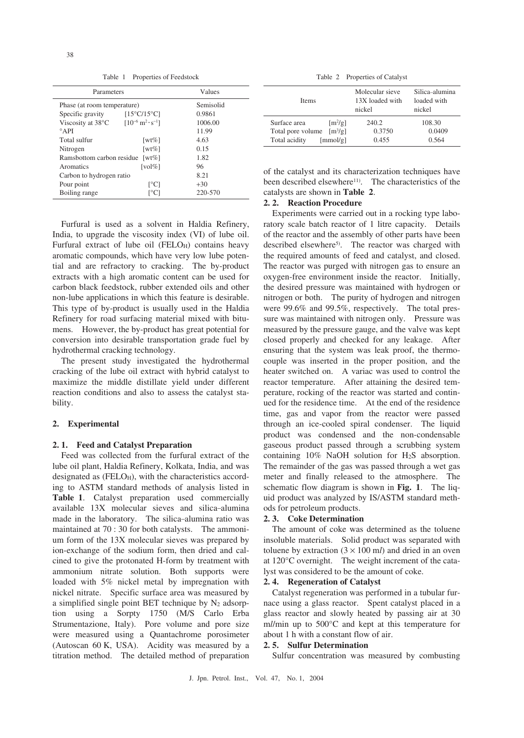Table 1 Properties of Feedstock

| Parameters                              |                                             | Values    |
|-----------------------------------------|---------------------------------------------|-----------|
| Phase (at room temperature)             |                                             | Semisolid |
| Specific gravity                        | $[15^{\circ}C/15^{\circ}C]$                 | 0.9861    |
| Viscosity at $38^{\circ}$ C             | $[10^{-6} \text{ m}^2 \cdot \text{s}^{-1}]$ | 1006.00   |
| $^{\circ}$ API                          |                                             | 11.99     |
| Total sulfur                            | [wt%]                                       | 4.63      |
| Nitrogen                                | [wt%]                                       | 0.15      |
| Ramsbottom carbon residue<br>[wt $\%$ ] |                                             | 1.82      |
| Aromatics                               | $\lceil vol\% \rceil$                       | 96        |
| Carbon to hydrogen ratio                |                                             | 8.21      |
| Pour point                              | $\lceil$ <sup>o</sup> Cl                    | $+30$     |
| Boiling range                           | Г°С                                         | 220-570   |

Furfural is used as a solvent in Haldia Refinery, India, to upgrade the viscosity index (VI) of lube oil. Furfural extract of lube oil  $(FELO<sub>H</sub>)$  contains heavy aromatic compounds, which have very low lube potential and are refractory to cracking. The by-product extracts with a high aromatic content can be used for carbon black feedstock, rubber extended oils and other non-lube applications in which this feature is desirable. This type of by-product is usually used in the Haldia Refinery for road surfacing material mixed with bitumens. However, the by-product has great potential for conversion into desirable transportation grade fuel by hydrothermal cracking technology.

The present study investigated the hydrothermal cracking of the lube oil extract with hybrid catalyst to maximize the middle distillate yield under different reaction conditions and also to assess the catalyst stability.

#### **2. Experimental**

### **2. 1. Feed and Catalyst Preparation**

Feed was collected from the furfural extract of the lube oil plant, Haldia Refinery, Kolkata, India, and was designated as  $(FELO<sub>H</sub>)$ , with the characteristics according to ASTM standard methods of analysis listed in Table 1. Catalyst preparation used commercially available 13X molecular sieves and silica-alumina made in the laboratory. The silica-alumina ratio was maintained at 70 : 30 for both catalysts. The ammonium form of the 13X molecular sieves was prepared by ion-exchange of the sodium form, then dried and calcined to give the protonated H-form by treatment with ammonium nitrate solution. Both supports were loaded with 5% nickel metal by impregnation with nickel nitrate. Specific surface area was measured by a simplified single point BET technique by  $N_2$  adsorption using a Sorpty 1750 (M/S Carlo Erba Strumentazione, Italy). Pore volume and pore size were measured using a Quantachrome porosimeter (Autoscan 60 K, USA). Acidity was measured by a titration method. The detailed method of preparation

Table 2 Properties of Catalyst

| <b>Items</b>                                      | Molecular sieve<br>13X loaded with<br>nickel | Silica-alumina<br>loaded with<br>nickel |
|---------------------------------------------------|----------------------------------------------|-----------------------------------------|
| Surface area<br>$\lceil m^2/g \rceil$             | 240.2                                        | 108.30                                  |
| $\left[\frac{m^3}{g}\right]$<br>Total pore volume | 0.3750                                       | 0.0409                                  |
| Total acidity<br>[mmol/g]                         | 0.455                                        | 0.564                                   |

of the catalyst and its characterization techniques have been described elsewhere<sup>11)</sup>. The characteristics of the catalysts are shown in **Table 2**.

# **2. 2. Reaction Procedure**

Experiments were carried out in a rocking type laboratory scale batch reactor of 1 litre capacity. Details of the reactor and the assembly of other parts have been described elsewhere<sup>5)</sup>. The reactor was charged with the required amounts of feed and catalyst, and closed. The reactor was purged with nitrogen gas to ensure an oxygen-free environment inside the reactor. Initially, the desired pressure was maintained with hydrogen or nitrogen or both. The purity of hydrogen and nitrogen were 99.6% and 99.5%, respectively. The total pressure was maintained with nitrogen only. Pressure was measured by the pressure gauge, and the valve was kept closed properly and checked for any leakage. After ensuring that the system was leak proof, the thermocouple was inserted in the proper position, and the heater switched on. A variac was used to control the reactor temperature. After attaining the desired temperature, rocking of the reactor was started and continued for the residence time. At the end of the residence time, gas and vapor from the reactor were passed through an ice-cooled spiral condenser. The liquid product was condensed and the non-condensable gaseous product passed through a scrubbing system containing 10% NaOH solution for H2S absorption. The remainder of the gas was passed through a wet gas meter and finally released to the atmosphere. The schematic flow diagram is shown in **Fig. 1**. The liquid product was analyzed by IS/ASTM standard methods for petroleum products.

#### **2. 3. Coke Determination**

The amount of coke was determined as the toluene insoluble materials. Solid product was separated with toluene by extraction  $(3 \times 100 \text{ m})$  and dried in an oven at 120°C overnight. The weight increment of the catalyst was considered to be the amount of coke.

# **2. 4. Regeneration of Catalyst**

Catalyst regeneration was performed in a tubular furnace using a glass reactor. Spent catalyst placed in a glass reactor and slowly heated by passing air at 30 m*l*/min up to 500°C and kept at this temperature for about 1 h with a constant flow of air.

#### **2. 5. Sulfur Determination**

Sulfur concentration was measured by combusting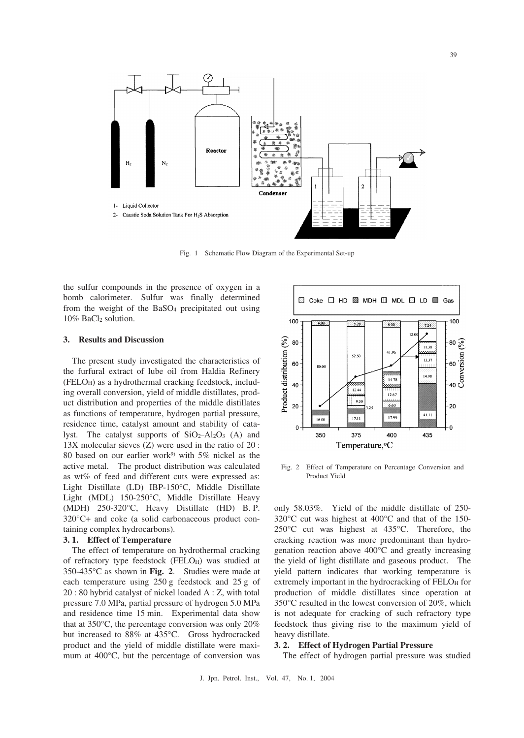

Fig. 1 Schematic Flow Diagram of the Experimental Set-up

the sulfur compounds in the presence of oxygen in a bomb calorimeter. Sulfur was finally determined from the weight of the BaSO4 precipitated out using 10% BaCl2 solution.

#### **3. Results and Discussion**

The present study investigated the characteristics of the furfural extract of lube oil from Haldia Refinery (FELOH) as a hydrothermal cracking feedstock, including overall conversion, yield of middle distillates, product distribution and properties of the middle distillates as functions of temperature, hydrogen partial pressure, residence time, catalyst amount and stability of catalyst. The catalyst supports of  $SiO_2 - Al_2O_3$  (A) and 13X molecular sieves (Z) were used in the ratio of 20 : 80 based on our earlier work<sup>9)</sup> with 5% nickel as the active metal. The product distribution was calculated as wt% of feed and different cuts were expressed as: Light Distillate (LD) IBP-150°C, Middle Distillate Light (MDL) 150-250°C, Middle Distillate Heavy (MDH) 250-320°C, Heavy Distillate (HD) B. P. 320°C+ and coke (a solid carbonaceous product containing complex hydrocarbons).

#### **3. 1. Effect of Temperature**

The effect of temperature on hydrothermal cracking of refractory type feedstock (FELO<sub>H</sub>) was studied at 350-435°C as shown in **Fig. 2**. Studies were made at each temperature using 250 g feedstock and 25 g of 20 : 80 hybrid catalyst of nickel loaded A : Z, with total pressure 7.0 MPa, partial pressure of hydrogen 5.0 MPa and residence time 15 min. Experimental data show that at 350°C, the percentage conversion was only 20% but increased to 88% at 435°C. Gross hydrocracked product and the yield of middle distillate were maximum at 400°C, but the percentage of conversion was



Fig. 2 Effect of Temperature on Percentage Conversion and Product Yield

only 58.03%. Yield of the middle distillate of 250- 320°C cut was highest at 400°C and that of the 150- 250°C cut was highest at 435°C. Therefore, the cracking reaction was more predominant than hydrogenation reaction above 400°C and greatly increasing the yield of light distillate and gaseous product. The yield pattern indicates that working temperature is extremely important in the hydrocracking of FELOH for production of middle distillates since operation at 350°C resulted in the lowest conversion of 20%, which is not adequate for cracking of such refractory type feedstock thus giving rise to the maximum yield of heavy distillate.

#### **3. 2. Effect of Hydrogen Partial Pressure**

The effect of hydrogen partial pressure was studied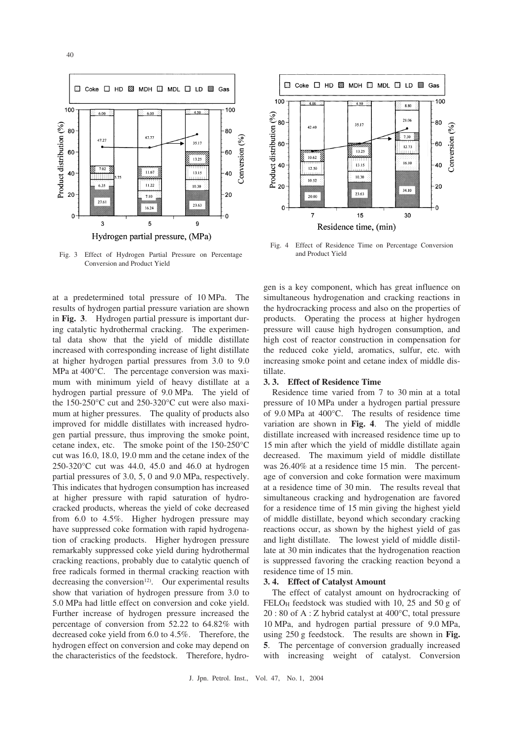



Fig. 3 Effect of Hydrogen Partial Pressure on Percentage Conversion and Product Yield

at a predetermined total pressure of 10 MPa. The results of hydrogen partial pressure variation are shown in **Fig. 3**. Hydrogen partial pressure is important during catalytic hydrothermal cracking. The experimental data show that the yield of middle distillate increased with corresponding increase of light distillate at higher hydrogen partial pressures from 3.0 to 9.0 MPa at 400°C. The percentage conversion was maximum with minimum yield of heavy distillate at a hydrogen partial pressure of 9.0 MPa. The yield of the 150-250°C cut and 250-320°C cut were also maximum at higher pressures. The quality of products also improved for middle distillates with increased hydrogen partial pressure, thus improving the smoke point, cetane index, etc. The smoke point of the 150-250°C cut was 16.0, 18.0, 19.0 mm and the cetane index of the 250-320°C cut was 44.0, 45.0 and 46.0 at hydrogen partial pressures of 3.0, 5, 0 and 9.0 MPa, respectively. This indicates that hydrogen consumption has increased at higher pressure with rapid saturation of hydrocracked products, whereas the yield of coke decreased from 6.0 to 4.5%. Higher hydrogen pressure may have suppressed coke formation with rapid hydrogenation of cracking products. Higher hydrogen pressure remarkably suppressed coke yield during hydrothermal cracking reactions, probably due to catalytic quench of free radicals formed in thermal cracking reaction with decreasing the conversion<sup>12)</sup>. Our experimental results show that variation of hydrogen pressure from 3.0 to 5.0 MPa had little effect on conversion and coke yield. Further increase of hydrogen pressure increased the percentage of conversion from 52.22 to 64.82% with decreased coke yield from 6.0 to 4.5%. Therefore, the hydrogen effect on conversion and coke may depend on the characteristics of the feedstock. Therefore, hydro-



Fig. 4 Effect of Residence Time on Percentage Conversion and Product Yield

gen is a key component, which has great influence on simultaneous hydrogenation and cracking reactions in the hydrocracking process and also on the properties of products. Operating the process at higher hydrogen pressure will cause high hydrogen consumption, and high cost of reactor construction in compensation for the reduced coke yield, aromatics, sulfur, etc. with increasing smoke point and cetane index of middle distillate.

#### **3. 3. Effect of Residence Time**

Residence time varied from 7 to 30 min at a total pressure of 10 MPa under a hydrogen partial pressure of 9.0 MPa at 400°C. The results of residence time variation are shown in **Fig. 4**. The yield of middle distillate increased with increased residence time up to 15 min after which the yield of middle distillate again decreased. The maximum yield of middle distillate was 26.40% at a residence time 15 min. The percentage of conversion and coke formation were maximum at a residence time of 30 min. The results reveal that simultaneous cracking and hydrogenation are favored for a residence time of 15 min giving the highest yield of middle distillate, beyond which secondary cracking reactions occur, as shown by the highest yield of gas and light distillate. The lowest yield of middle distillate at 30 min indicates that the hydrogenation reaction is suppressed favoring the cracking reaction beyond a residence time of 15 min.

## **3. 4. Effect of Catalyst Amount**

The effect of catalyst amount on hydrocracking of FELO $_H$  feedstock was studied with 10, 25 and 50 g of 20 : 80 of A : Z hybrid catalyst at 400°C, total pressure 10 MPa, and hydrogen partial pressure of 9.0 MPa, using 250 g feedstock. The results are shown in **Fig. 5**. The percentage of conversion gradually increased with increasing weight of catalyst. Conversion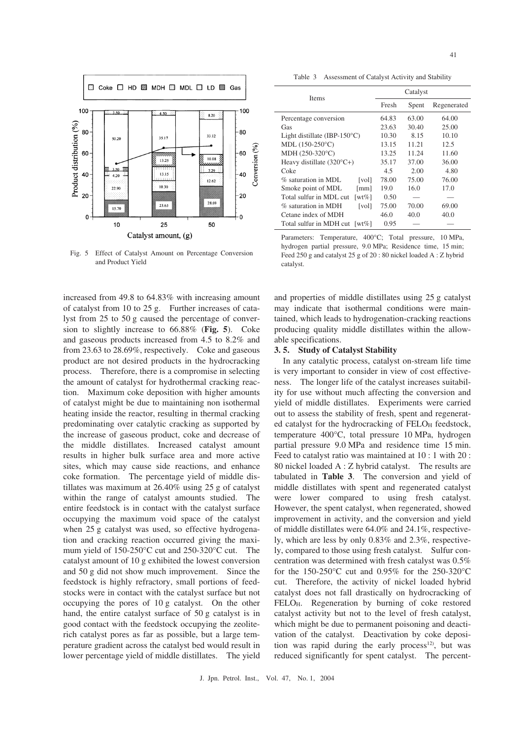

Fig. 5 Effect of Catalyst Amount on Percentage Conversion and Product Yield

increased from 49.8 to 64.83% with increasing amount of catalyst from 10 to 25 g. Further increases of catalyst from 25 to 50 g caused the percentage of conversion to slightly increase to 66.88% (**Fig. 5**). Coke and gaseous products increased from 4.5 to 8.2% and from 23.63 to 28.69%, respectively. Coke and gaseous product are not desired products in the hydrocracking process. Therefore, there is a compromise in selecting the amount of catalyst for hydrothermal cracking reaction. Maximum coke deposition with higher amounts of catalyst might be due to maintaining non isothermal heating inside the reactor, resulting in thermal cracking predominating over catalytic cracking as supported by the increase of gaseous product, coke and decrease of the middle distillates. Increased catalyst amount results in higher bulk surface area and more active sites, which may cause side reactions, and enhance coke formation. The percentage yield of middle distillates was maximum at 26.40% using 25 g of catalyst within the range of catalyst amounts studied. The entire feedstock is in contact with the catalyst surface occupying the maximum void space of the catalyst when 25 g catalyst was used, so effective hydrogenation and cracking reaction occurred giving the maximum yield of 150-250°C cut and 250-320°C cut. The catalyst amount of 10 g exhibited the lowest conversion and 50 g did not show much improvement. Since the feedstock is highly refractory, small portions of feedstocks were in contact with the catalyst surface but not occupying the pores of 10 g catalyst. On the other hand, the entire catalyst surface of 50 g catalyst is in good contact with the feedstock occupying the zeoliterich catalyst pores as far as possible, but a large temperature gradient across the catalyst bed would result in lower percentage yield of middle distillates. The yield

Table 3 Assessment of Catalyst Activity and Stability

| <b>Items</b>                            | Catalyst |       |             |
|-----------------------------------------|----------|-------|-------------|
|                                         | Fresh    | Spent | Regenerated |
| Percentage conversion                   | 64.83    | 63.00 | 64.00       |
| Gas                                     | 23.63    | 30.40 | 25.00       |
| Light distillate (IBP-150 $^{\circ}$ C) | 10.30    | 8.15  | 10.10       |
| $MDL$ (150-250 $°C$ )                   | 13.15    | 11.21 | 12.5        |
| MDH (250-320°C)                         | 13.25    | 11.24 | 11.60       |
| Heavy distillate $(320^{\circ}C+)$      | 35.17    | 37.00 | 36.00       |
| Coke                                    | 4.5      | 2.00  | 4.80        |
| $\%$ saturation in MDL.<br>[vol]        | 78.00    | 75.00 | 76.00       |
| Smoke point of MDL<br>[mm]              | 19.0     | 16.0  | 17.0        |
| Total sulfur in MDL cut<br>[wt $%$ ]    | 0.50     |       |             |
| % saturation in MDH<br>[vol]            | 75.00    | 70.00 | 69.00       |
| Cetane index of MDH                     | 46.0     | 40.0  | 40.0        |
| Total sulfur in MDH cut<br>[wt $\%$ ]   | 0.95     |       |             |

Parameters: Temperature, 400°C; Total pressure, 10 MPa, hydrogen partial pressure, 9.0 MPa; Residence time, 15 min; Feed 250 g and catalyst 25 g of 20 : 80 nickel loaded A : Z hybrid catalyst.

and properties of middle distillates using 25 g catalyst may indicate that isothermal conditions were maintained, which leads to hydrogenation-cracking reactions producing quality middle distillates within the allowable specifications.

#### **3. 5. Study of Catalyst Stability**

In any catalytic process, catalyst on-stream life time is very important to consider in view of cost effectiveness. The longer life of the catalyst increases suitability for use without much affecting the conversion and yield of middle distillates. Experiments were carried out to assess the stability of fresh, spent and regenerated catalyst for the hydrocracking of FELOH feedstock, temperature 400°C, total pressure 10 MPa, hydrogen partial pressure 9.0 MPa and residence time 15 min. Feed to catalyst ratio was maintained at 10 : 1 with 20 : 80 nickel loaded A : Z hybrid catalyst. The results are tabulated in **Table 3**. The conversion and yield of middle distillates with spent and regenerated catalyst were lower compared to using fresh catalyst. However, the spent catalyst, when regenerated, showed improvement in activity, and the conversion and yield of middle distillates were 64.0% and 24.1%, respectively, which are less by only 0.83% and 2.3%, respectively, compared to those using fresh catalyst. Sulfur concentration was determined with fresh catalyst was 0.5% for the 150-250°C cut and 0.95% for the 250-320°C cut. Therefore, the activity of nickel loaded hybrid catalyst does not fall drastically on hydrocracking of FELO<sub>H</sub>. Regeneration by burning of coke restored catalyst activity but not to the level of fresh catalyst, which might be due to permanent poisoning and deactivation of the catalyst. Deactivation by coke deposition was rapid during the early process<sup>12)</sup>, but was reduced significantly for spent catalyst. The percent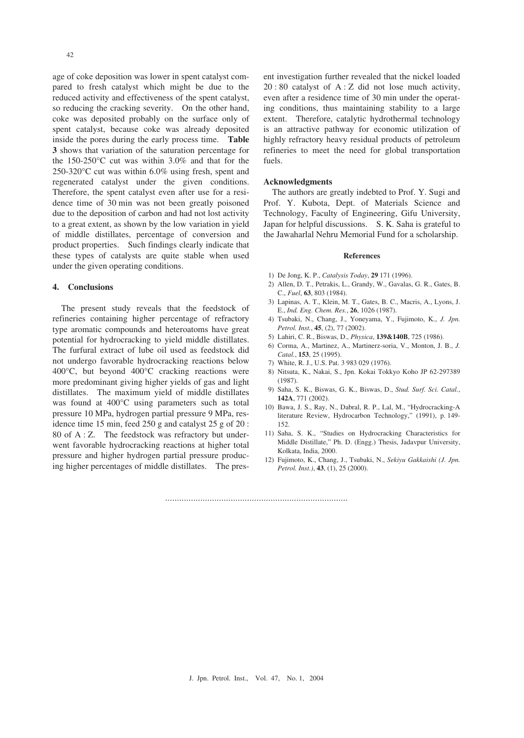42

age of coke deposition was lower in spent catalyst compared to fresh catalyst which might be due to the reduced activity and effectiveness of the spent catalyst, so reducing the cracking severity. On the other hand, coke was deposited probably on the surface only of spent catalyst, because coke was already deposited inside the pores during the early process time. **Table 3** shows that variation of the saturation percentage for the 150-250°C cut was within 3.0% and that for the 250-320°C cut was within 6.0% using fresh, spent and regenerated catalyst under the given conditions. Therefore, the spent catalyst even after use for a residence time of 30 min was not been greatly poisoned due to the deposition of carbon and had not lost activity to a great extent, as shown by the low variation in yield of middle distillates, percentage of conversion and product properties. Such findings clearly indicate that these types of catalysts are quite stable when used under the given operating conditions.

#### **4. Conclusions**

The present study reveals that the feedstock of refineries containing higher percentage of refractory type aromatic compounds and heteroatoms have great potential for hydrocracking to yield middle distillates. The furfural extract of lube oil used as feedstock did not undergo favorable hydrocracking reactions below 400°C, but beyond 400°C cracking reactions were more predominant giving higher yields of gas and light distillates. The maximum yield of middle distillates was found at 400°C using parameters such as total pressure 10 MPa, hydrogen partial pressure 9 MPa, residence time 15 min, feed 250 g and catalyst 25 g of 20 : 80 of A : Z. The feedstock was refractory but underwent favorable hydrocracking reactions at higher total pressure and higher hydrogen partial pressure producing higher percentages of middle distillates. The present investigation further revealed that the nickel loaded 20 : 80 catalyst of A : Z did not lose much activity, even after a residence time of 30 min under the operating conditions, thus maintaining stability to a large extent. Therefore, catalytic hydrothermal technology is an attractive pathway for economic utilization of highly refractory heavy residual products of petroleum refineries to meet the need for global transportation fuels.

#### **Acknowledgments**

The authors are greatly indebted to Prof. Y. Sugi and Prof. Y. Kubota, Dept. of Materials Science and Technology, Faculty of Engineering, Gifu University, Japan for helpful discussions. S. K. Saha is grateful to the Jawaharlal Nehru Memorial Fund for a scholarship.

#### **References**

- 1) De Jong, K. P., *Catalysis Today*, **29** 171 (1996).
- 2) Allen, D. T., Petrakis, L., Grandy, W., Gavalas, G. R., Gates, B. C., *Fuel*, **63**, 803 (1984).
- 3) Lapinas, A. T., Klein, M. T., Gates, B. C., Macris, A., Lyons, J. E., *Ind. Eng. Chem. Res.*, **26**, 1026 (1987).
- 4) Tsubaki, N., Chang, J., Yoneyama, Y., Fujimoto, K., *J. Jpn. Petrol. Inst.*, **45**, (2), 77 (2002).
- 5) Lahiri, C. R., Biswas, D., *Physica*, **139&140B**, 725 (1986).
- 6) Corma, A., Martinez, A., Martinerz-soria, V., Monton, J. B., *J. Catal.*, **153**, 25 (1995).
- 7) White, R. J., U.S. Pat. 3 983 029 (1976).
- 8) Nitsuta, K., Nakai, S., Jpn. Kokai Tokkyo Koho JP 62-297389 (1987).
- 9) Saha, S. K., Biswas, G. K., Biswas, D., *Stud. Surf. Sci. Catal.*, **142A**, 771 (2002).
- 10) Bawa, J. S., Ray, N., Dabral, R. P., Lal, M., "Hydrocracking-A literature Review, Hydrocarbon Technology," (1991), p. 149- 152.
- 11) Saha, S. K., "Studies on Hydrocracking Characteristics for Middle Distillate," Ph. D. (Engg.) Thesis, Jadavpur University, Kolkata, India, 2000.
- 12) Fujimoto, K., Chang, J., Tsubaki, N., *Sekiyu Gakkaishi (J. Jpn. Petrol. Inst.)*, **43**, (1), 25 (2000).

……………………………………………………………………